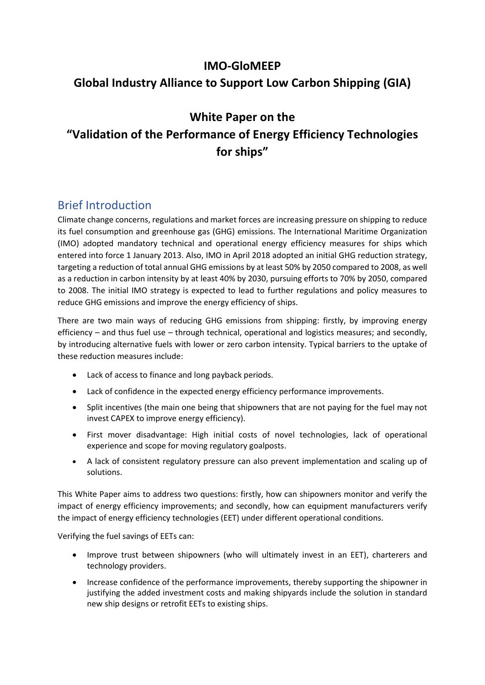# **IMO-GloMEEP Global Industry Alliance to Support Low Carbon Shipping (GIA)**

## **White Paper on the**

# **"Validation of the Performance of Energy Efficiency Technologies for ships"**

# Brief Introduction

Climate change concerns, regulations and market forces are increasing pressure on shipping to reduce its fuel consumption and greenhouse gas (GHG) emissions. The International Maritime Organization (IMO) adopted mandatory technical and operational energy efficiency measures for ships which entered into force 1 January 2013. Also, IMO in April 2018 adopted an initial GHG reduction strategy, targeting a reduction of total annual GHG emissions by at least 50% by 2050 compared to 2008, as well as a reduction in carbon intensity by at least 40% by 2030, pursuing efforts to 70% by 2050, compared to 2008. The initial IMO strategy is expected to lead to further regulations and policy measures to reduce GHG emissions and improve the energy efficiency of ships.

There are two main ways of reducing GHG emissions from shipping: firstly, by improving energy efficiency – and thus fuel use – through technical, operational and logistics measures; and secondly, by introducing alternative fuels with lower or zero carbon intensity. Typical barriers to the uptake of these reduction measures include:

- Lack of access to finance and long payback periods.
- Lack of confidence in the expected energy efficiency performance improvements.
- Split incentives (the main one being that shipowners that are not paying for the fuel may not invest CAPEX to improve energy efficiency).
- First mover disadvantage: High initial costs of novel technologies, lack of operational experience and scope for moving regulatory goalposts.
- A lack of consistent regulatory pressure can also prevent implementation and scaling up of solutions.

This White Paper aims to address two questions: firstly, how can shipowners monitor and verify the impact of energy efficiency improvements; and secondly, how can equipment manufacturers verify the impact of energy efficiency technologies (EET) under different operational conditions.

Verifying the fuel savings of EETs can:

- Improve trust between shipowners (who will ultimately invest in an EET), charterers and technology providers.
- Increase confidence of the performance improvements, thereby supporting the shipowner in justifying the added investment costs and making shipyards include the solution in standard new ship designs or retrofit EETs to existing ships.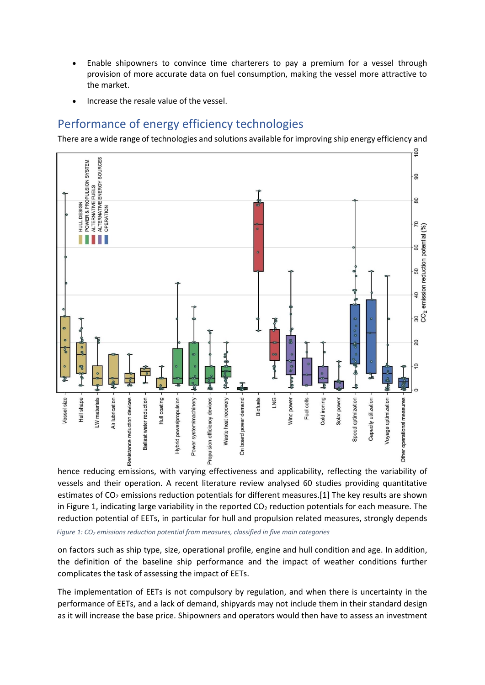- Enable shipowners to convince time charterers to pay a premium for a vessel through provision of more accurate data on fuel consumption, making the vessel more attractive to the market.
- Increase the resale value of the vessel.

# Performance of energy efficiency technologies

There are a wide range of technologies and solutions available for improving ship energy efficiency and



hence reducing emissions, with varying effectiveness and applicability, reflecting the variability of vessels and their operation. A recent literature review analysed 60 studies providing quantitative estimates of  $CO<sub>2</sub>$  emissions reduction potentials for different measures.[1] The key results are shown in Figure 1, indicating large variability in the reported  $CO<sub>2</sub>$  reduction potentials for each measure. The reduction potential of EETs, in particular for hull and propulsion related measures, strongly depends *Figure 1: CO<sup>2</sup> emissions reduction potential from measures, classified in five main categories*

on factors such as ship type, size, operational profile, engine and hull condition and age. In addition, the definition of the baseline ship performance and the impact of weather conditions further complicates the task of assessing the impact of EETs.

The implementation of EETs is not compulsory by regulation, and when there is uncertainty in the performance of EETs, and a lack of demand, shipyards may not include them in their standard design as it will increase the base price. Shipowners and operators would then have to assess an investment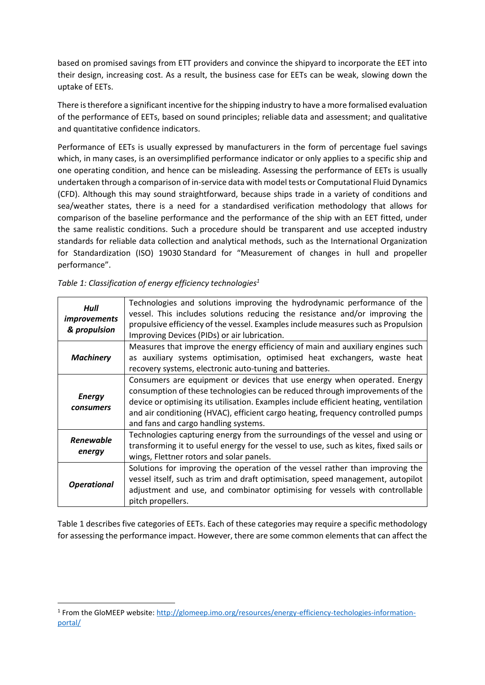based on promised savings from ETT providers and convince the shipyard to incorporate the EET into their design, increasing cost. As a result, the business case for EETs can be weak, slowing down the uptake of EETs.

There is therefore a significant incentive for the shipping industry to have a more formalised evaluation of the performance of EETs, based on sound principles; reliable data and assessment; and qualitative and quantitative confidence indicators.

Performance of EETs is usually expressed by manufacturers in the form of percentage fuel savings which, in many cases, is an oversimplified performance indicator or only applies to a specific ship and one operating condition, and hence can be misleading. Assessing the performance of EETs is usually undertaken through a comparison of in-service data with model tests or Computational Fluid Dynamics (CFD). Although this may sound straightforward, because ships trade in a variety of conditions and sea/weather states, there is a need for a standardised verification methodology that allows for comparison of the baseline performance and the performance of the ship with an EET fitted, under the same realistic conditions. Such a procedure should be transparent and use accepted industry standards for reliable data collection and analytical methods, such as the International Organization for Standardization (ISO) 19030 Standard for "Measurement of changes in hull and propeller performance".

| Hull<br><i>improvements</i><br>& propulsion | Technologies and solutions improving the hydrodynamic performance of the<br>vessel. This includes solutions reducing the resistance and/or improving the<br>propulsive efficiency of the vessel. Examples include measures such as Propulsion<br>Improving Devices (PIDs) or air lubrication.                                                                                 |
|---------------------------------------------|-------------------------------------------------------------------------------------------------------------------------------------------------------------------------------------------------------------------------------------------------------------------------------------------------------------------------------------------------------------------------------|
| <b>Machinery</b>                            | Measures that improve the energy efficiency of main and auxiliary engines such<br>as auxiliary systems optimisation, optimised heat exchangers, waste heat<br>recovery systems, electronic auto-tuning and batteries.                                                                                                                                                         |
| <b>Energy</b><br>consumers                  | Consumers are equipment or devices that use energy when operated. Energy<br>consumption of these technologies can be reduced through improvements of the<br>device or optimising its utilisation. Examples include efficient heating, ventilation<br>and air conditioning (HVAC), efficient cargo heating, frequency controlled pumps<br>and fans and cargo handling systems. |
| <b>Renewable</b><br>energy                  | Technologies capturing energy from the surroundings of the vessel and using or<br>transforming it to useful energy for the vessel to use, such as kites, fixed sails or<br>wings, Flettner rotors and solar panels.                                                                                                                                                           |
| <b>Operational</b>                          | Solutions for improving the operation of the vessel rather than improving the<br>vessel itself, such as trim and draft optimisation, speed management, autopilot<br>adjustment and use, and combinator optimising for vessels with controllable<br>pitch propellers.                                                                                                          |

*Table 1: Classification of energy efficiency technologies<sup>1</sup>*

1

Table 1 describes five categories of EETs. Each of these categories may require a specific methodology for assessing the performance impact. However, there are some common elements that can affect the

<sup>&</sup>lt;sup>1</sup> From the GloMEEP website: <u>http://glomeep.imo.org/resources/energy-efficiency-techologies-information-</u> [portal/](http://glomeep.imo.org/resources/energy-efficiency-techologies-information-portal/)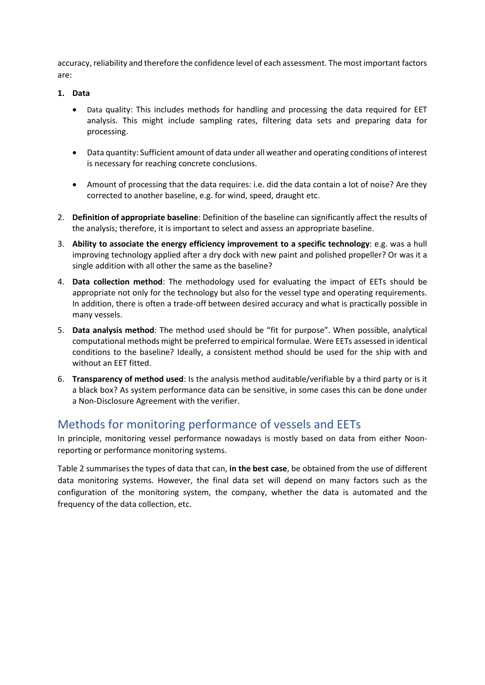accuracy, reliability and therefore the confidence level of each assessment. The most important factors are:

#### **1. Data**

- Data quality: This includes methods for handling and processing the data required for EET analysis. This might include sampling rates, filtering data sets and preparing data for processing.
- Data quantity: Sufficient amount of data under all weather and operating conditions of interest is necessary for reaching concrete conclusions.
- Amount of processing that the data requires: i.e. did the data contain a lot of noise? Are they corrected to another baseline, e.g. for wind, speed, draught etc.
- 2. **Definition of appropriate baseline**: Definition of the baseline can significantly affect the results of the analysis; therefore, it is important to select and assess an appropriate baseline.
- 3. **Ability to associate the energy efficiency improvement to a specific technology**: e.g. was a hull improving technology applied after a dry dock with new paint and polished propeller? Or was it a single addition with all other the same as the baseline?
- 4. **Data collection method**: The methodology used for evaluating the impact of EETs should be appropriate not only for the technology but also for the vessel type and operating requirements. In addition, there is often a trade-off between desired accuracy and what is practically possible in many vessels.
- 5. **Data analysis method**: The method used should be "fit for purpose". When possible, analytical computational methods might be preferred to empirical formulae. Were EETs assessed in identical conditions to the baseline? Ideally, a consistent method should be used for the ship with and without an EET fitted.
- 6. **Transparency of method used**: Is the analysis method auditable/verifiable by a third party or is it a black box? As system performance data can be sensitive, in some cases this can be done under a Non-Disclosure Agreement with the verifier.

## Methods for monitoring performance of vessels and EETs

In principle, monitoring vessel performance nowadays is mostly based on data from either Noonreporting or performance monitoring systems.

Table 2 summarises the types of data that can, **in the best case**, be obtained from the use of different data monitoring systems. However, the final data set will depend on many factors such as the configuration of the monitoring system, the company, whether the data is automated and the frequency of the data collection, etc.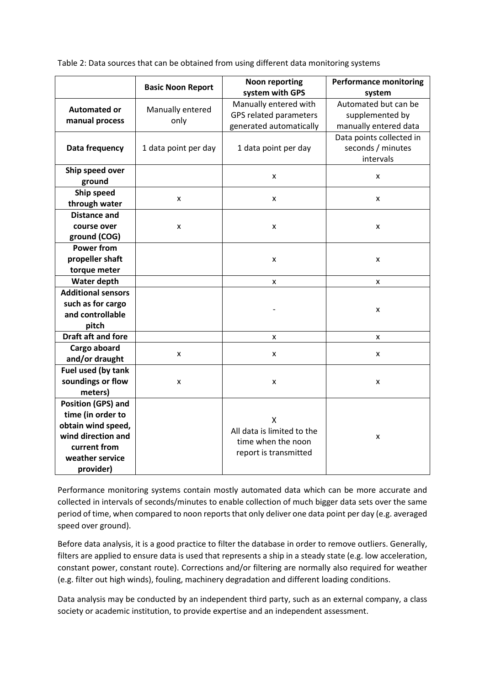Table 2: Data sources that can be obtained from using different data monitoring systems

|                           |                          | <b>Performance monitoring</b>                    |                          |  |
|---------------------------|--------------------------|--------------------------------------------------|--------------------------|--|
|                           | <b>Basic Noon Report</b> | <b>Noon reporting</b><br>system with GPS         | system                   |  |
| <b>Automated or</b>       |                          | Manually entered with                            | Automated but can be     |  |
|                           | Manually entered<br>only | GPS related parameters                           | supplemented by          |  |
| manual process            |                          | generated automatically                          | manually entered data    |  |
|                           | 1 data point per day     | 1 data point per day                             | Data points collected in |  |
| Data frequency            |                          |                                                  | seconds / minutes        |  |
|                           |                          |                                                  | intervals                |  |
| Ship speed over           |                          |                                                  |                          |  |
| ground                    |                          | X                                                | X                        |  |
| Ship speed                | x                        | X                                                |                          |  |
| through water             |                          |                                                  | x                        |  |
| <b>Distance and</b>       | x                        |                                                  | X                        |  |
| course over               |                          | X                                                |                          |  |
| ground (COG)              |                          |                                                  |                          |  |
| <b>Power from</b>         |                          |                                                  |                          |  |
| propeller shaft           |                          | X                                                | X                        |  |
| torque meter              |                          |                                                  |                          |  |
| Water depth               |                          | X                                                | X                        |  |
| <b>Additional sensors</b> |                          |                                                  | X                        |  |
| such as for cargo         |                          |                                                  |                          |  |
| and controllable          |                          |                                                  |                          |  |
| pitch                     |                          |                                                  |                          |  |
| <b>Draft aft and fore</b> |                          | X                                                | x                        |  |
| Cargo aboard              | x                        | X                                                | x                        |  |
| and/or draught            |                          |                                                  |                          |  |
| Fuel used (by tank        |                          |                                                  |                          |  |
| soundings or flow         | x                        | X                                                | x                        |  |
| meters)                   |                          |                                                  |                          |  |
| <b>Position (GPS) and</b> |                          |                                                  |                          |  |
| time (in order to         |                          | X                                                |                          |  |
| obtain wind speed,        |                          | All data is limited to the<br>time when the noon | X                        |  |
| wind direction and        |                          |                                                  |                          |  |
| current from              |                          | report is transmitted                            |                          |  |
| weather service           |                          |                                                  |                          |  |
| provider)                 |                          |                                                  |                          |  |

Performance monitoring systems contain mostly automated data which can be more accurate and collected in intervals of seconds/minutes to enable collection of much bigger data sets over the same period of time, when compared to noon reports that only deliver one data point per day (e.g. averaged speed over ground).

Before data analysis, it is a good practice to filter the database in order to remove outliers. Generally, filters are applied to ensure data is used that represents a ship in a steady state (e.g. low acceleration, constant power, constant route). Corrections and/or filtering are normally also required for weather (e.g. filter out high winds), fouling, machinery degradation and different loading conditions.

Data analysis may be conducted by an independent third party, such as an external company, a class society or academic institution, to provide expertise and an independent assessment.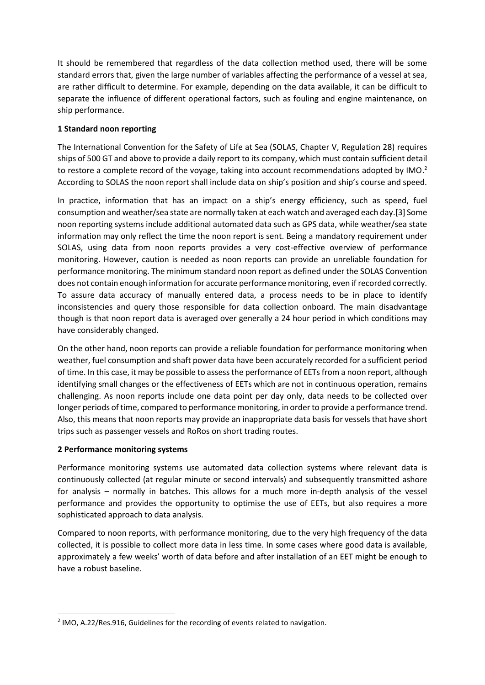It should be remembered that regardless of the data collection method used, there will be some standard errors that, given the large number of variables affecting the performance of a vessel at sea, are rather difficult to determine. For example, depending on the data available, it can be difficult to separate the influence of different operational factors, such as fouling and engine maintenance, on ship performance.

#### **1 Standard noon reporting**

The International Convention for the Safety of Life at Sea (SOLAS, Chapter V, Regulation 28) requires ships of 500 GT and above to provide a daily report to its company, which must contain sufficient detail to restore a complete record of the voyage, taking into account recommendations adopted by IMO.<sup>2</sup> According to SOLAS the noon report shall include data on ship's position and ship's course and speed.

In practice, information that has an impact on a ship's energy efficiency, such as speed, fuel consumption and weather/sea state are normally taken at each watch and averaged each day.[3] Some noon reporting systems include additional automated data such as GPS data, while weather/sea state information may only reflect the time the noon report is sent. Being a mandatory requirement under SOLAS, using data from noon reports provides a very cost-effective overview of performance monitoring. However, caution is needed as noon reports can provide an unreliable foundation for performance monitoring. The minimum standard noon report as defined under the SOLAS Convention does not contain enough information for accurate performance monitoring, even if recorded correctly. To assure data accuracy of manually entered data, a process needs to be in place to identify inconsistencies and query those responsible for data collection onboard. The main disadvantage though is that noon report data is averaged over generally a 24 hour period in which conditions may have considerably changed.

On the other hand, noon reports can provide a reliable foundation for performance monitoring when weather, fuel consumption and shaft power data have been accurately recorded for a sufficient period of time. In this case, it may be possible to assess the performance of EETs from a noon report, although identifying small changes or the effectiveness of EETs which are not in continuous operation, remains challenging. As noon reports include one data point per day only, data needs to be collected over longer periods of time, compared to performance monitoring, in order to provide a performance trend. Also, this means that noon reports may provide an inappropriate data basis for vessels that have short trips such as passenger vessels and RoRos on short trading routes.

#### **2 Performance monitoring systems**

**.** 

Performance monitoring systems use automated data collection systems where relevant data is continuously collected (at regular minute or second intervals) and subsequently transmitted ashore for analysis – normally in batches. This allows for a much more in-depth analysis of the vessel performance and provides the opportunity to optimise the use of EETs, but also requires a more sophisticated approach to data analysis.

Compared to noon reports, with performance monitoring, due to the very high frequency of the data collected, it is possible to collect more data in less time. In some cases where good data is available, approximately a few weeks' worth of data before and after installation of an EET might be enough to have a robust baseline.

<sup>&</sup>lt;sup>2</sup> IMO, A.22/Res.916, Guidelines for the recording of events related to navigation.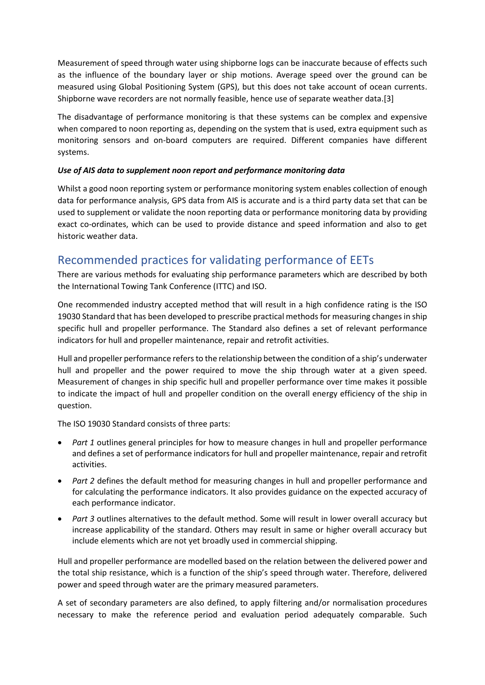Measurement of speed through water using shipborne logs can be inaccurate because of effects such as the influence of the boundary layer or ship motions. Average speed over the ground can be measured using Global Positioning System (GPS), but this does not take account of ocean currents. Shipborne wave recorders are not normally feasible, hence use of separate weather data.[3]

The disadvantage of performance monitoring is that these systems can be complex and expensive when compared to noon reporting as, depending on the system that is used, extra equipment such as monitoring sensors and on-board computers are required. Different companies have different systems.

#### *Use of AIS data to supplement noon report and performance monitoring data*

Whilst a good noon reporting system or performance monitoring system enables collection of enough data for performance analysis, GPS data from AIS is accurate and is a third party data set that can be used to supplement or validate the noon reporting data or performance monitoring data by providing exact co-ordinates, which can be used to provide distance and speed information and also to get historic weather data.

## Recommended practices for validating performance of EETs

There are various methods for evaluating ship performance parameters which are described by both the International Towing Tank Conference (ITTC) and ISO.

One recommended industry accepted method that will result in a high confidence rating is the ISO 19030 Standard that has been developed to prescribe practical methods for measuring changes in ship specific hull and propeller performance. The Standard also defines a set of relevant performance indicators for hull and propeller maintenance, repair and retrofit activities.

Hull and propeller performance refers to the relationship between the condition of a ship's underwater hull and propeller and the power required to move the ship through water at a given speed. Measurement of changes in ship specific hull and propeller performance over time makes it possible to indicate the impact of hull and propeller condition on the overall energy efficiency of the ship in question.

The ISO 19030 Standard consists of three parts:

- *Part 1* outlines general principles for how to measure changes in hull and propeller performance and defines a set of performance indicators for hull and propeller maintenance, repair and retrofit activities.
- *Part 2* defines the default method for measuring changes in hull and propeller performance and for calculating the performance indicators. It also provides guidance on the expected accuracy of each performance indicator.
- *Part 3* outlines alternatives to the default method. Some will result in lower overall accuracy but increase applicability of the standard. Others may result in same or higher overall accuracy but include elements which are not yet broadly used in commercial shipping.

Hull and propeller performance are modelled based on the relation between the delivered power and the total ship resistance, which is a function of the ship's speed through water. Therefore, delivered power and speed through water are the primary measured parameters.

A set of secondary parameters are also defined, to apply filtering and/or normalisation procedures necessary to make the reference period and evaluation period adequately comparable. Such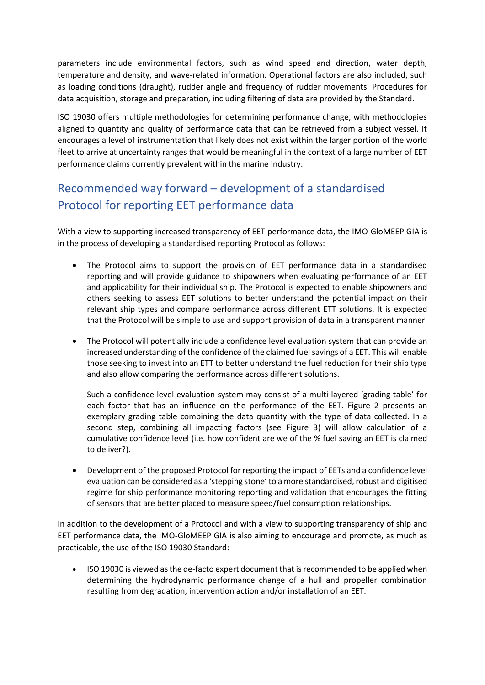parameters include environmental factors, such as wind speed and direction, water depth, temperature and density, and wave-related information. Operational factors are also included, such as loading conditions (draught), rudder angle and frequency of rudder movements. Procedures for data acquisition, storage and preparation, including filtering of data are provided by the Standard.

ISO 19030 offers multiple methodologies for determining performance change, with methodologies aligned to quantity and quality of performance data that can be retrieved from a subject vessel. It encourages a level of instrumentation that likely does not exist within the larger portion of the world fleet to arrive at uncertainty ranges that would be meaningful in the context of a large number of EET performance claims currently prevalent within the marine industry.

# Recommended way forward – development of a standardised Protocol for reporting EET performance data

With a view to supporting increased transparency of EET performance data, the IMO-GloMEEP GIA is in the process of developing a standardised reporting Protocol as follows:

- The Protocol aims to support the provision of EET performance data in a standardised reporting and will provide guidance to shipowners when evaluating performance of an EET and applicability for their individual ship. The Protocol is expected to enable shipowners and others seeking to assess EET solutions to better understand the potential impact on their relevant ship types and compare performance across different ETT solutions. It is expected that the Protocol will be simple to use and support provision of data in a transparent manner.
- The Protocol will potentially include a confidence level evaluation system that can provide an increased understanding of the confidence of the claimed fuel savings of a EET. This will enable those seeking to invest into an ETT to better understand the fuel reduction for their ship type and also allow comparing the performance across different solutions.

Such a confidence level evaluation system may consist of a multi-layered 'grading table' for each factor that has an influence on the performance of the EET. Figure 2 presents an exemplary grading table combining the data quantity with the type of data collected. In a second step, combining all impacting factors (see Figure 3) will allow calculation of a cumulative confidence level (i.e. how confident are we of the % fuel saving an EET is claimed to deliver?).

 Development of the proposed Protocol for reporting the impact of EETs and a confidence level evaluation can be considered as a 'stepping stone' to a more standardised, robust and digitised regime for ship performance monitoring reporting and validation that encourages the fitting of sensors that are better placed to measure speed/fuel consumption relationships.

In addition to the development of a Protocol and with a view to supporting transparency of ship and EET performance data, the IMO-GloMEEP GIA is also aiming to encourage and promote, as much as practicable, the use of the ISO 19030 Standard:

 ISO 19030 is viewed as the de-facto expert document that is recommended to be applied when determining the hydrodynamic performance change of a hull and propeller combination resulting from degradation, intervention action and/or installation of an EET.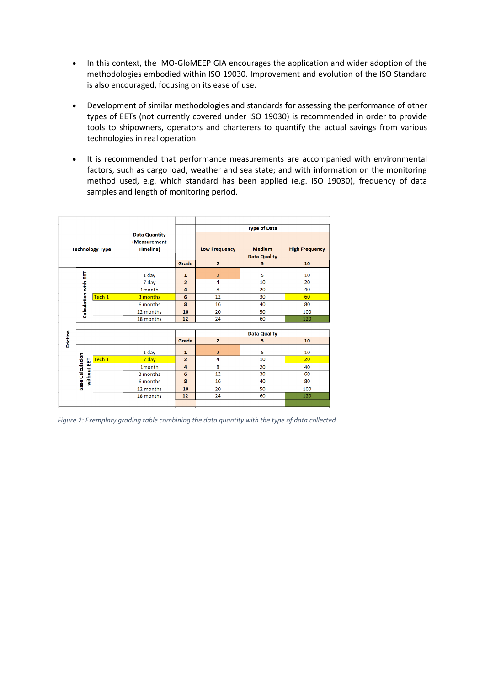- In this context, the IMO-GloMEEP GIA encourages the application and wider adoption of the methodologies embodied within ISO 19030. Improvement and evolution of the ISO Standard is also encouraged, focusing on its ease of use.
- Development of similar methodologies and standards for assessing the performance of other types of EETs (not currently covered under ISO 19030) is recommended in order to provide tools to shipowners, operators and charterers to quantify the actual savings from various technologies in real operation.
- It is recommended that performance measurements are accompanied with environmental factors, such as cargo load, weather and sea state; and with information on the monitoring method used, e.g. which standard has been applied (e.g. ISO 19030), frequency of data samples and length of monitoring period.

|          |  |                                        |                        |                      | <b>Type of Data</b> |                      |               |                       |
|----------|--|----------------------------------------|------------------------|----------------------|---------------------|----------------------|---------------|-----------------------|
|          |  |                                        |                        | <b>Data Quantity</b> |                     |                      |               |                       |
|          |  |                                        |                        | (Measurement         |                     |                      |               |                       |
|          |  |                                        | <b>Technology Type</b> | <b>Timeline)</b>     |                     | <b>Low Frequency</b> | <b>Medium</b> | <b>High Frequency</b> |
|          |  |                                        |                        |                      |                     | <b>Data Quality</b>  |               |                       |
|          |  |                                        |                        |                      | Grade               | $\overline{2}$       | 5             | 10                    |
|          |  |                                        |                        | 1 day                | $\mathbf{1}$        | $\overline{2}$       | 5             | 10                    |
|          |  | <b>Calculation with EET</b>            |                        |                      | $\overline{2}$      | 4                    | 10            | 20                    |
|          |  |                                        |                        | 7 day                |                     | 8                    |               |                       |
|          |  |                                        |                        | 1month               | 4                   |                      | 20            | 40                    |
|          |  |                                        | Tech 1                 | 3 months             | 6                   | 12                   | 30            | 60                    |
|          |  |                                        |                        | 6 months             | 8                   | 16                   | 40            | 80                    |
|          |  |                                        |                        | 12 months            | 10                  | 20                   | 50            | 100                   |
|          |  |                                        |                        | 18 months            | 12                  | 24                   | 60            | 120                   |
|          |  |                                        |                        |                      |                     |                      |               |                       |
|          |  |                                        |                        |                      |                     | <b>Data Quality</b>  |               |                       |
| Friction |  |                                        |                        |                      | Grade               | $\overline{2}$       | 5             | 10                    |
|          |  |                                        |                        | 1 day                | 1                   | 2                    | 5             | 10                    |
|          |  |                                        | Tech 1                 | 7 day                | $\overline{2}$      | 4                    | 10            | 20                    |
|          |  |                                        |                        | 1month               | 4                   | 8                    | 20            | 40                    |
|          |  |                                        |                        | 3 months             | 6                   | 12                   | 30            | 60                    |
|          |  | <b>Base Calculation</b><br>without EET |                        | 6 months             | 8                   | 16                   | 40            | 80                    |
|          |  |                                        |                        | 12 months            | 10                  | 20                   | 50            | 100                   |
|          |  |                                        |                        | 18 months            | 12                  | 24                   | 60            | 120                   |
|          |  |                                        |                        |                      |                     |                      |               |                       |
|          |  |                                        |                        |                      |                     |                      |               |                       |

*Figure 2: Exemplary grading table combining the data quantity with the type of data collected*